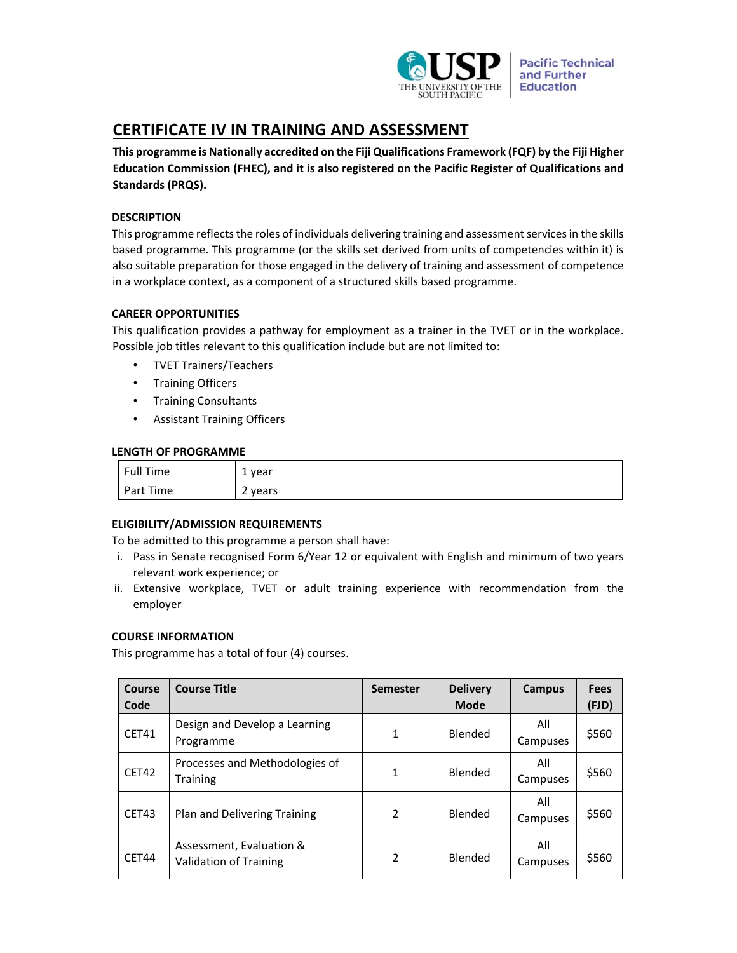

**Pacific Technical** and Further **Education** 

# **CERTIFICATE IV IN TRAINING AND ASSESSMENT**

**This programme is Nationally accredited on the Fiji Qualifications Framework (FQF) by the Fiji Higher Education Commission (FHEC), and it is also registered on the Pacific Register of Qualifications and Standards (PRQS).** 

# **DESCRIPTION**

This programme reflects the roles of individuals delivering training and assessment services in the skills based programme. This programme (or the skills set derived from units of competencies within it) is also suitable preparation for those engaged in the delivery of training and assessment of competence in a workplace context, as a component of a structured skills based programme.

# **CAREER OPPORTUNITIES**

This qualification provides a pathway for employment as a trainer in the TVET or in the workplace. Possible job titles relevant to this qualification include but are not limited to:

- TVET Trainers/Teachers
- Training Officers
- Training Consultants
- Assistant Training Officers

# **LENGTH OF PROGRAMME**

| Full Time | . year  |
|-----------|---------|
| Part Time | 2 years |

# **ELIGIBILITY/ADMISSION REQUIREMENTS**

To be admitted to this programme a person shall have:

- i. Pass in Senate recognised Form 6/Year 12 or equivalent with English and minimum of two years relevant work experience; or
- ii. Extensive workplace, TVET or adult training experience with recommendation from the employer

# **COURSE INFORMATION**

This programme has a total of four (4) courses.

| Course<br>Code | <b>Course Title</b>                                       | <b>Semester</b> | <b>Delivery</b><br><b>Mode</b> | <b>Campus</b>   | <b>Fees</b><br>(FJD) |
|----------------|-----------------------------------------------------------|-----------------|--------------------------------|-----------------|----------------------|
| CET41          | Design and Develop a Learning<br>Programme                | 1               | Blended                        | All<br>Campuses | \$560                |
| CET42          | Processes and Methodologies of<br><b>Training</b>         | 1               | Blended                        | All<br>Campuses | \$560                |
| CET43          | Plan and Delivering Training                              | 2               | Blended                        | All<br>Campuses | \$560                |
| <b>CET44</b>   | Assessment, Evaluation &<br><b>Validation of Training</b> | 2               | <b>Blended</b>                 | All<br>Campuses | \$560                |